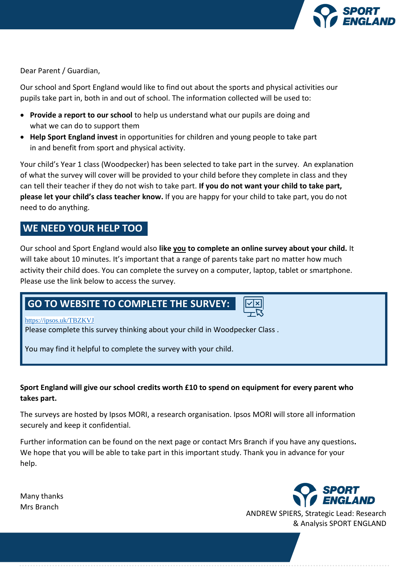

Dear Parent / Guardian,

Our school and Sport England would like to find out about the sports and physical activities our pupils take part in, both in and out of school. The information collected will be used to:

- **Provide a report to our school** to help us understand what our pupils are doing and what we can do to support them
- **Help Sport England invest** in opportunities for children and young people to take part in and benefit from sport and physical activity.

Your child's Year 1 class (Woodpecker) has been selected to take part in the survey. An explanation of what the survey will cover will be provided to your child before they complete in class and they can tell their teacher if they do not wish to take part. **If you do not want your child to take part, please let your child's class teacher know.** If you are happy for your child to take part, you do not need to do anything.

# **WE NEED YOUR HELP TOO**

Our school and Sport England would also **like you to complete an online survey about your child.** It will take about 10 minutes. It's important that a range of parents take part no matter how much activity their child does. You can complete the survey on a computer, laptop, tablet or smartphone. Please use the link below to access the survey.

# **GO TO WEBSITE TO COMPLETE THE SURVEY:**

<https://ipsos.uk/TBZKVJ>

Please complete this survey thinking about your child in Woodpecker Class .

You may find it helpful to complete the survey with your child.

## **Sport England will give our school credits worth £10 to spend on equipment for every parent who takes part.**

The surveys are hosted by Ipsos MORI, a research organisation. Ipsos MORI will store all information securely and keep it confidential.

Further information can be found on the next page or contact Mrs Branch if you have any questions**.**  We hope that you will be able to take part in this important study. Thank you in advance for your help.

Many thanks Mrs Branch



ANDREW SPIERS, Strategic Lead: Research & Analysis SPORT ENGLAND